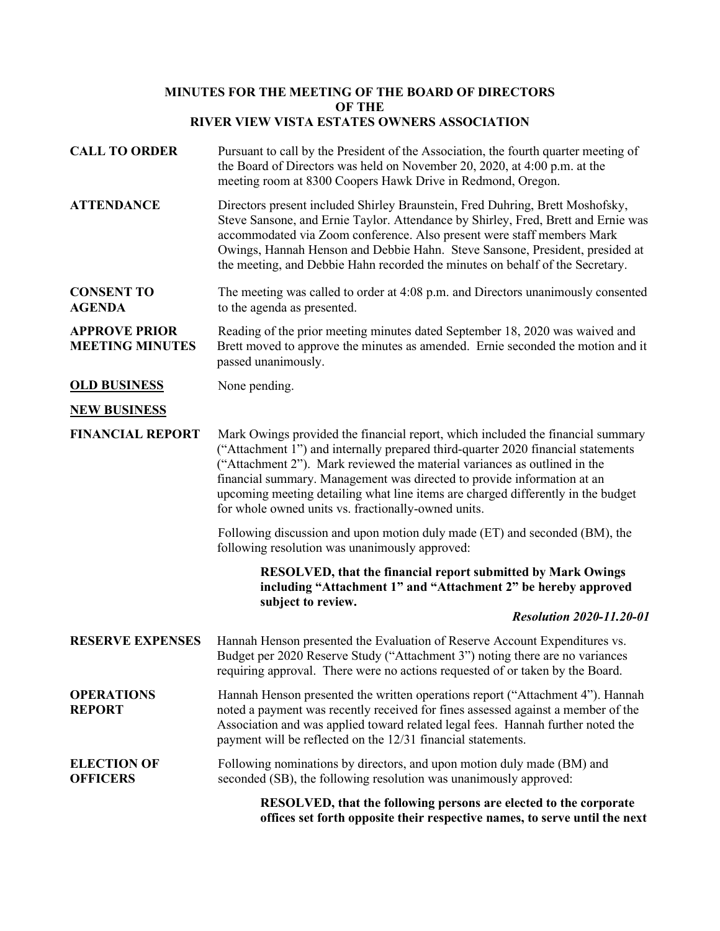## **MINUTES FOR THE MEETING OF THE BOARD OF DIRECTORS OF THE RIVER VIEW VISTA ESTATES OWNERS ASSOCIATION**

| <b>CALL TO ORDER</b>                           | Pursuant to call by the President of the Association, the fourth quarter meeting of<br>the Board of Directors was held on November 20, 2020, at 4:00 p.m. at the<br>meeting room at 8300 Coopers Hawk Drive in Redmond, Oregon.                                                                                                                                                                                                                                        |
|------------------------------------------------|------------------------------------------------------------------------------------------------------------------------------------------------------------------------------------------------------------------------------------------------------------------------------------------------------------------------------------------------------------------------------------------------------------------------------------------------------------------------|
| <b>ATTENDANCE</b>                              | Directors present included Shirley Braunstein, Fred Duhring, Brett Moshofsky,<br>Steve Sansone, and Ernie Taylor. Attendance by Shirley, Fred, Brett and Ernie was<br>accommodated via Zoom conference. Also present were staff members Mark<br>Owings, Hannah Henson and Debbie Hahn. Steve Sansone, President, presided at<br>the meeting, and Debbie Hahn recorded the minutes on behalf of the Secretary.                                                          |
| <b>CONSENT TO</b><br><b>AGENDA</b>             | The meeting was called to order at 4:08 p.m. and Directors unanimously consented<br>to the agenda as presented.                                                                                                                                                                                                                                                                                                                                                        |
| <b>APPROVE PRIOR</b><br><b>MEETING MINUTES</b> | Reading of the prior meeting minutes dated September 18, 2020 was waived and<br>Brett moved to approve the minutes as amended. Ernie seconded the motion and it<br>passed unanimously.                                                                                                                                                                                                                                                                                 |
| <b>OLD BUSINESS</b>                            | None pending.                                                                                                                                                                                                                                                                                                                                                                                                                                                          |
| <b>NEW BUSINESS</b>                            |                                                                                                                                                                                                                                                                                                                                                                                                                                                                        |
| <b>FINANCIAL REPORT</b>                        | Mark Owings provided the financial report, which included the financial summary<br>("Attachment 1") and internally prepared third-quarter 2020 financial statements<br>("Attachment 2"). Mark reviewed the material variances as outlined in the<br>financial summary. Management was directed to provide information at an<br>upcoming meeting detailing what line items are charged differently in the budget<br>for whole owned units vs. fractionally-owned units. |
|                                                | Following discussion and upon motion duly made (ET) and seconded (BM), the<br>following resolution was unanimously approved:                                                                                                                                                                                                                                                                                                                                           |
|                                                | <b>RESOLVED, that the financial report submitted by Mark Owings</b><br>including "Attachment 1" and "Attachment 2" be hereby approved<br>subject to review.<br><b>Resolution 2020-11.20-01</b>                                                                                                                                                                                                                                                                         |
| <b>RESERVE EXPENSES</b>                        | Hannah Henson presented the Evaluation of Reserve Account Expenditures vs.<br>Budget per 2020 Reserve Study ("Attachment 3") noting there are no variances<br>requiring approval. There were no actions requested of or taken by the Board.                                                                                                                                                                                                                            |
| <b>OPERATIONS</b><br><b>REPORT</b>             | Hannah Henson presented the written operations report ("Attachment 4"). Hannah<br>noted a payment was recently received for fines assessed against a member of the<br>Association and was applied toward related legal fees. Hannah further noted the<br>payment will be reflected on the 12/31 financial statements.                                                                                                                                                  |
| <b>ELECTION OF</b><br><b>OFFICERS</b>          | Following nominations by directors, and upon motion duly made (BM) and<br>seconded (SB), the following resolution was unanimously approved:                                                                                                                                                                                                                                                                                                                            |
|                                                | RESOLVED, that the following persons are elected to the corporate<br>offices set forth opposite their respective names, to serve until the next                                                                                                                                                                                                                                                                                                                        |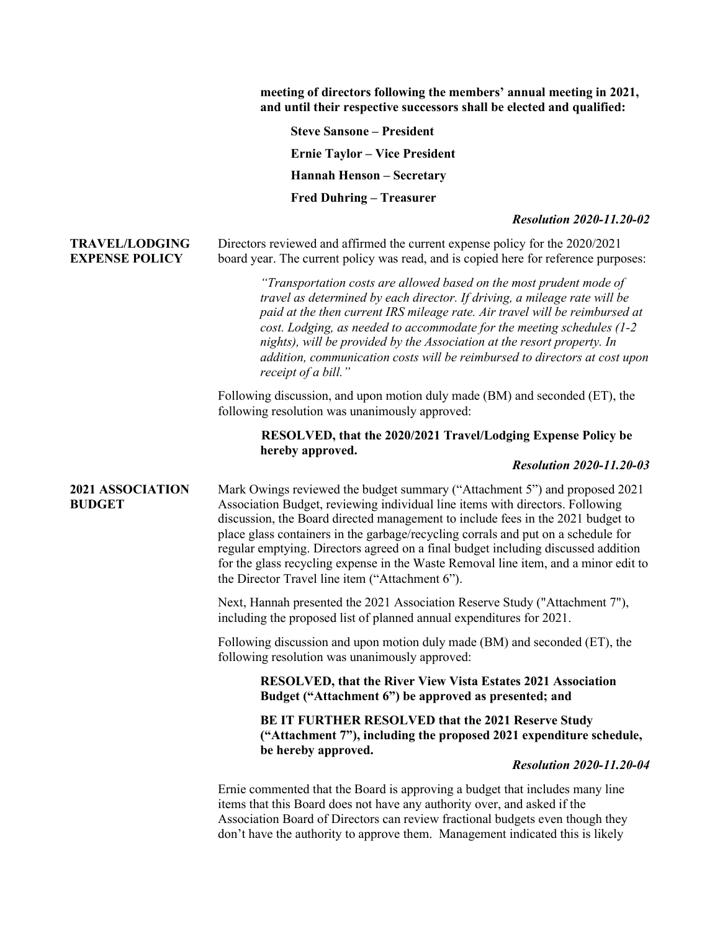|                                                | meeting of directors following the members' annual meeting in 2021,<br>and until their respective successors shall be elected and qualified:                                                                                                                                                                                                                                                                                                                                                                                                                       |
|------------------------------------------------|--------------------------------------------------------------------------------------------------------------------------------------------------------------------------------------------------------------------------------------------------------------------------------------------------------------------------------------------------------------------------------------------------------------------------------------------------------------------------------------------------------------------------------------------------------------------|
|                                                | <b>Steve Sansone - President</b>                                                                                                                                                                                                                                                                                                                                                                                                                                                                                                                                   |
|                                                | <b>Ernie Taylor – Vice President</b>                                                                                                                                                                                                                                                                                                                                                                                                                                                                                                                               |
|                                                | <b>Hannah Henson - Secretary</b>                                                                                                                                                                                                                                                                                                                                                                                                                                                                                                                                   |
|                                                | <b>Fred Duhring - Treasurer</b>                                                                                                                                                                                                                                                                                                                                                                                                                                                                                                                                    |
|                                                | <b>Resolution 2020-11.20-02</b>                                                                                                                                                                                                                                                                                                                                                                                                                                                                                                                                    |
| <b>TRAVEL/LODGING</b><br><b>EXPENSE POLICY</b> | Directors reviewed and affirmed the current expense policy for the 2020/2021<br>board year. The current policy was read, and is copied here for reference purposes:                                                                                                                                                                                                                                                                                                                                                                                                |
|                                                | "Transportation costs are allowed based on the most prudent mode of<br>travel as determined by each director. If driving, a mileage rate will be<br>paid at the then current IRS mileage rate. Air travel will be reimbursed at<br>cost. Lodging, as needed to accommodate for the meeting schedules (1-2<br>nights), will be provided by the Association at the resort property. In<br>addition, communication costs will be reimbursed to directors at cost upon<br>receipt of a bill."                                                                          |
|                                                | Following discussion, and upon motion duly made (BM) and seconded (ET), the<br>following resolution was unanimously approved:                                                                                                                                                                                                                                                                                                                                                                                                                                      |
|                                                | RESOLVED, that the 2020/2021 Travel/Lodging Expense Policy be<br>hereby approved.<br><b>Resolution 2020-11.20-03</b>                                                                                                                                                                                                                                                                                                                                                                                                                                               |
| 2021 ASSOCIATION<br><b>BUDGET</b>              | Mark Owings reviewed the budget summary ("Attachment 5") and proposed 2021<br>Association Budget, reviewing individual line items with directors. Following<br>discussion, the Board directed management to include fees in the 2021 budget to<br>place glass containers in the garbage/recycling corrals and put on a schedule for<br>regular emptying. Directors agreed on a final budget including discussed addition<br>for the glass recycling expense in the Waste Removal line item, and a minor edit to<br>the Director Travel line item ("Attachment 6"). |
|                                                | Next, Hannah presented the 2021 Association Reserve Study ("Attachment 7"),<br>including the proposed list of planned annual expenditures for 2021.                                                                                                                                                                                                                                                                                                                                                                                                                |
|                                                | Following discussion and upon motion duly made (BM) and seconded (ET), the<br>following resolution was unanimously approved:                                                                                                                                                                                                                                                                                                                                                                                                                                       |
|                                                | <b>RESOLVED, that the River View Vista Estates 2021 Association</b><br>Budget ("Attachment 6") be approved as presented; and                                                                                                                                                                                                                                                                                                                                                                                                                                       |
|                                                | BE IT FURTHER RESOLVED that the 2021 Reserve Study<br>("Attachment 7"), including the proposed 2021 expenditure schedule,                                                                                                                                                                                                                                                                                                                                                                                                                                          |
|                                                | be hereby approved.<br><b>Resolution 2020-11.20-04</b>                                                                                                                                                                                                                                                                                                                                                                                                                                                                                                             |
|                                                | Ernie commented that the Board is approving a budget that includes many line<br>items that this Board does not have any authority over, and asked if the<br>Association Board of Directors can review fractional budgets even though they<br>don't have the authority to approve them. Management indicated this is likely                                                                                                                                                                                                                                         |